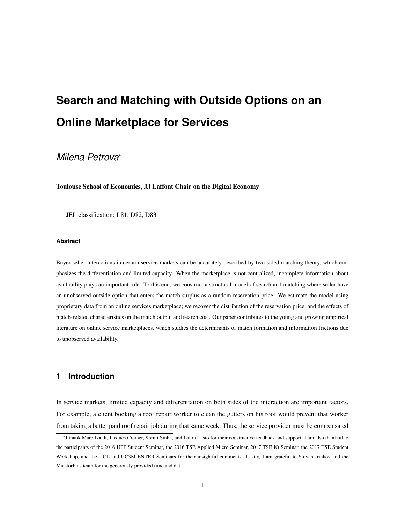# **Search and Matching with Outside Options on an Online Marketplace for Services**

# *Milena Petrova*<sup>∗</sup>

Toulouse School of Economics, JJ Laffont Chair on the Digital Economy

JEL classification: L81, D82, D83

#### **Abstract**

Buyer-seller interactions in certain service markets can be accurately described by two-sided matching theory, which emphasizes the differentiation and limited capacity. When the marketplace is not centralized, incomplete information about availability plays an important role. To this end, we construct a structural model of search and matching where seller have an unobserved outside option that enters the match surplus as a random reservation price. We estimate the model using proprietary data from an online services marketplace; we recover the distribution of the reservation price, and the effects of match-related characteristics on the match output and search cost. Our paper contributes to the young and growing empirical literature on online service marketplaces, which studies the determinants of match formation and information frictions due to unobserved availability.

# **1 Introduction**

In service markets, limited capacity and differentiation on both sides of the interaction are important factors. For example, a client booking a roof repair worker to clean the gutters on his roof would prevent that worker from taking a better paid roof repair job during that same week. Thus, the service provider must be compensated

<sup>∗</sup>I thank Marc Ivaldi, Jacques Cremer, Shruti Sinha, and Laura Lasio for their constructive feedback and support. I am also thankful to the participants of the 2016 UPF Student Seminar, the 2016 TSE Applied Micro Seminar, 2017 TSE IO Seminar, the 2017 TSE Student Workshop, and the UCL and UC3M ENTER Seminars for their insightful comments. Lastly, I am grateful to Stoyan Irinkov and the MaistorPlus team for the generously provided time and data.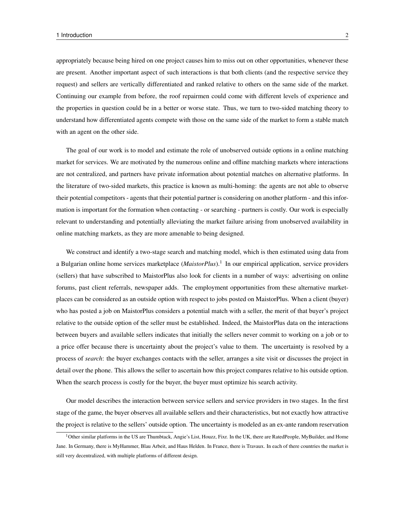appropriately because being hired on one project causes him to miss out on other opportunities, whenever these are present. Another important aspect of such interactions is that both clients (and the respective service they request) and sellers are vertically differentiated and ranked relative to others on the same side of the market. Continuing our example from before, the roof repairmen could come with different levels of experience and the properties in question could be in a better or worse state. Thus, we turn to two-sided matching theory to understand how differentiated agents compete with those on the same side of the market to form a stable match with an agent on the other side.

The goal of our work is to model and estimate the role of unobserved outside options in a online matching market for services. We are motivated by the numerous online and offline matching markets where interactions are not centralized, and partners have private information about potential matches on alternative platforms. In the literature of two-sided markets, this practice is known as multi-homing: the agents are not able to observe their potential competitors - agents that their potential partner is considering on another platform - and this information is important for the formation when contacting - or searching - partners is costly. Our work is especially relevant to understanding and potentially alleviating the market failure arising from unobserved availability in online matching markets, as they are more amenable to being designed.

We construct and identify a two-stage search and matching model, which is then estimated using data from a Bulgarian online home services marketplace (*MaistorPlus*).<sup>1</sup> In our empirical application, service providers (sellers) that have subscribed to MaistorPlus also look for clients in a number of ways: advertising on online forums, past client referrals, newspaper adds. The employment opportunities from these alternative marketplaces can be considered as an outside option with respect to jobs posted on MaistorPlus. When a client (buyer) who has posted a job on MaistorPlus considers a potential match with a seller, the merit of that buyer's project relative to the outside option of the seller must be established. Indeed, the MaistorPlus data on the interactions between buyers and available sellers indicates that initially the sellers never commit to working on a job or to a price offer because there is uncertainty about the project's value to them. The uncertainty is resolved by a process of *search*: the buyer exchanges contacts with the seller, arranges a site visit or discusses the project in detail over the phone. This allows the seller to ascertain how this project compares relative to his outside option. When the search process is costly for the buyer, the buyer must optimize his search activity.

Our model describes the interaction between service sellers and service providers in two stages. In the first stage of the game, the buyer observes all available sellers and their characteristics, but not exactly how attractive the project is relative to the sellers' outside option. The uncertainty is modeled as an ex-ante random reservation

<sup>&</sup>lt;sup>1</sup>Other similar platforms in the US are Thumbtack, Angie's List, Houzz, Fixr. In the UK, there are RatedPeople, MyBuilder, and Home Jane. In Germany, there is MyHammer, Blau Arbeit, and Haus Helden. In France, there is Travaux. In each of there countries the market is still very decentralized, with multiple platforms of different design.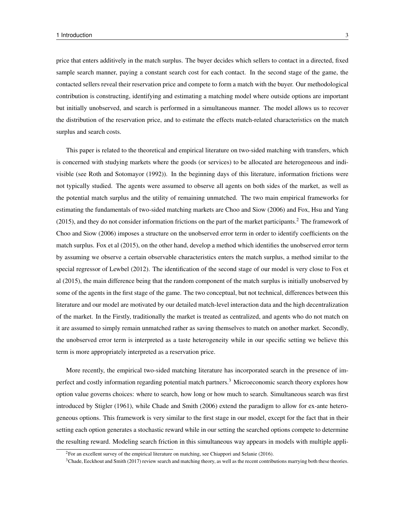price that enters additively in the match surplus. The buyer decides which sellers to contact in a directed, fixed sample search manner, paying a constant search cost for each contact. In the second stage of the game, the contacted sellers reveal their reservation price and compete to form a match with the buyer. Our methodological contribution is constructing, identifying and estimating a matching model where outside options are important but initially unobserved, and search is performed in a simultaneous manner. The model allows us to recover the distribution of the reservation price, and to estimate the effects match-related characteristics on the match surplus and search costs.

This paper is related to the theoretical and empirical literature on two-sided matching with transfers, which is concerned with studying markets where the goods (or services) to be allocated are heterogeneous and indivisible (see Roth and Sotomayor (1992)). In the beginning days of this literature, information frictions were not typically studied. The agents were assumed to observe all agents on both sides of the market, as well as the potential match surplus and the utility of remaining unmatched. The two main empirical frameworks for estimating the fundamentals of two-sided matching markets are Choo and Siow (2006) and Fox, Hsu and Yang (2015), and they do not consider information frictions on the part of the market participants.<sup>2</sup> The framework of Choo and Siow (2006) imposes a structure on the unobserved error term in order to identify coefficients on the match surplus. Fox et al (2015), on the other hand, develop a method which identifies the unobserved error term by assuming we observe a certain observable characteristics enters the match surplus, a method similar to the special regressor of Lewbel (2012). The identification of the second stage of our model is very close to Fox et al (2015), the main difference being that the random component of the match surplus is initially unobserved by some of the agents in the first stage of the game. The two conceptual, but not technical, differences between this literature and our model are motivated by our detailed match-level interaction data and the high decentralization of the market. In the Firstly, traditionally the market is treated as centralized, and agents who do not match on it are assumed to simply remain unmatched rather as saving themselves to match on another market. Secondly, the unobserved error term is interpreted as a taste heterogeneity while in our specific setting we believe this term is more appropriately interpreted as a reservation price.

More recently, the empirical two-sided matching literature has incorporated search in the presence of imperfect and costly information regarding potential match partners.<sup>3</sup> Microeconomic search theory explores how option value governs choices: where to search, how long or how much to search. Simultaneous search was first introduced by Stigler (1961), while Chade and Smith (2006) extend the paradigm to allow for ex-ante heterogeneous options. This framework is very similar to the first stage in our model, except for the fact that in their setting each option generates a stochastic reward while in our setting the searched options compete to determine the resulting reward. Modeling search friction in this simultaneous way appears in models with multiple appli-

<sup>&</sup>lt;sup>2</sup>For an excellent survey of the empirical literature on matching, see Chiappori and Selanie (2016).

<sup>&</sup>lt;sup>3</sup>Chade, Eeckhout and Smith (2017) review search and matching theory, as well as the recent contributions marrying both these theories.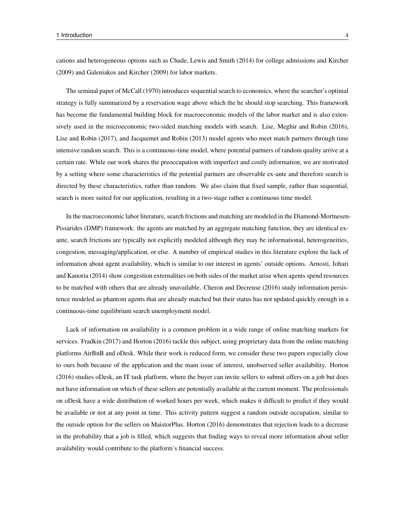cations and heterogeneous options such as Chade, Lewis and Smith (2014) for college admissions and Kircher (2009) and Galeniakos and Kircher (2009) for labor markets.

The seminal paper of McCall (1970) introduces sequential search to economics, where the searcher's optimal strategy is fully summarized by a reservation wage above which the he should stop searching. This framework has become the fundamental building block for macroeconomic models of the labor market and is also extensively used in the microeconomic two-sided matching models with search. Lise, Meghir and Robin (2016), Lise and Robin (2017), and Jacquemet and Robin (2013) model agents who meet match partners through time intensive random search. This is a continuous-time model, where potential partners of random quality arrive at a certain rate. While our work shares the preoccupation with imperfect and costly information, we are motivated by a setting where some characteristics of the potential partners are observable ex-ante and therefore search is directed by these characteristics, rather than random. We also claim that fixed sample, rather than sequential, search is more suited for our application, resulting in a two-stage rather a continuous time model.

In the macroeconomic labor literature, search frictions and matching are modeled in the Diamond-Mortnesen-Pissarides (DMP) framework: the agents are matched by an aggregate matching function, they are identical exante, search frictions are typically not explicitly modeled although they may be informational, heterogeneities, congestion, messaging/application, or else. A number of empirical studies in this literature explore the lack of information about agent availability, which is similar to our interest in agents' outside options. Arnosti, Johari and Kanoria (2014) show congestion externalities on both sides of the market arise when agents spend resources to be matched with others that are already unavailable. Cheron and Decreuse (2016) study information persistence modeled as phantom agents that are already matched but their status has not updated quickly enough in a continuous-time equilibrium search unemployment model.

Lack of information on availability is a common problem in a wide range of online matching markets for services. Fradkin (2017) and Horton (2016) tackle this subject, using proprietary data from the online matching platforms AirBnB and oDesk. While their work is reduced form, we consider these two papers especially close to ours both because of the application and the main issue of interest, unobserved seller availability. Horton (2016) studies oDesk, an IT task platform, where the buyer can invite sellers to submit offers on a job but does not have information on which of these sellers are potentially available at the current moment. The professionals on oDesk have a wide distribution of worked hours per week, which makes it difficult to predict if they would be available or not at any point in time. This activity pattern suggest a random outside occupation, similar to the outside option for the sellers on MaistorPlus. Horton (2016) demonstrates that rejection leads to a decrease in the probability that a job is filled, which suggests that finding ways to reveal more information about seller availability would contribute to the platform's financial success.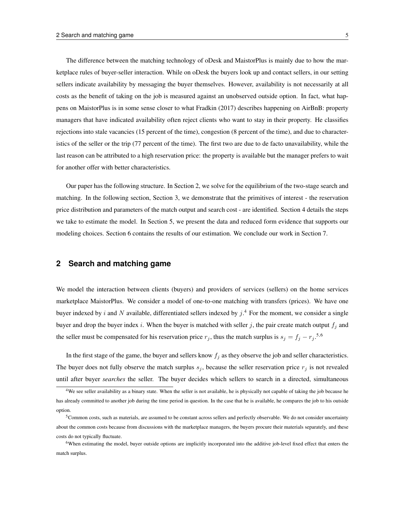The difference between the matching technology of oDesk and MaistorPlus is mainly due to how the marketplace rules of buyer-seller interaction. While on oDesk the buyers look up and contact sellers, in our setting sellers indicate availability by messaging the buyer themselves. However, availability is not necessarily at all costs as the benefit of taking on the job is measured against an unobserved outside option. In fact, what happens on MaistorPlus is in some sense closer to what Fradkin (2017) describes happening on AirBnB: property managers that have indicated availability often reject clients who want to stay in their property. He classifies rejections into stale vacancies (15 percent of the time), congestion (8 percent of the time), and due to characteristics of the seller or the trip (77 percent of the time). The first two are due to de facto unavailability, while the last reason can be attributed to a high reservation price: the property is available but the manager prefers to wait for another offer with better characteristics.

Our paper has the following structure. In Section 2, we solve for the equilibrium of the two-stage search and matching. In the following section, Section 3, we demonstrate that the primitives of interest - the reservation price distribution and parameters of the match output and search cost - are identified. Section 4 details the steps we take to estimate the model. In Section 5, we present the data and reduced form evidence that supports our modeling choices. Section 6 contains the results of our estimation. We conclude our work in Section 7.

# **2 Search and matching game**

We model the interaction between clients (buyers) and providers of services (sellers) on the home services marketplace MaistorPlus. We consider a model of one-to-one matching with transfers (prices). We have one buyer indexed by i and N available, differentiated sellers indexed by  $j$ .<sup>4</sup> For the moment, we consider a single buyer and drop the buyer index i. When the buyer is matched with seller j, the pair create match output  $f_i$  and the seller must be compensated for his reservation price  $r_j$ , thus the match surplus is  $s_j = f_j - r_j$ .<sup>5,6</sup>

In the first stage of the game, the buyer and sellers know  $f_j$  as they observe the job and seller characteristics. The buyer does not fully observe the match surplus  $s_j$ , because the seller reservation price  $r_j$  is not revealed until after buyer *searches* the seller. The buyer decides which sellers to search in a directed, simultaneous

 $4W$ e see seller availability as a binary state. When the seller is not available, he is physically not capable of taking the job because he has already committed to another job during the time period in question. In the case that he is available, he compares the job to his outside option.

<sup>5</sup>Common costs, such as materials, are assumed to be constant across sellers and perfectly observable. We do not consider uncertainty about the common costs because from discussions with the marketplace managers, the buyers procure their materials separately, and these costs do not typically fluctuate.

<sup>&</sup>lt;sup>6</sup>When estimating the model, buyer outside options are implicitly incorporated into the additive job-level fixed effect that enters the match surplus.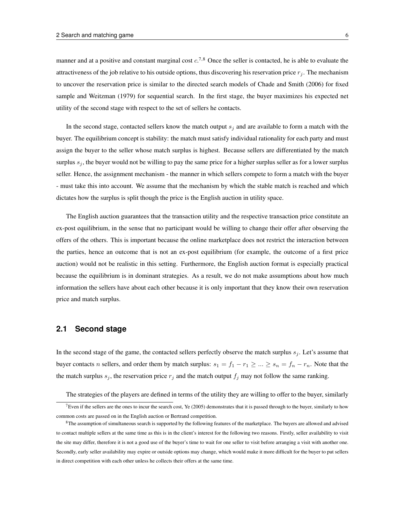manner and at a positive and constant marginal cost  $c^{7,8}$  Once the seller is contacted, he is able to evaluate the attractiveness of the job relative to his outside options, thus discovering his reservation price  $r_j$ . The mechanism to uncover the reservation price is similar to the directed search models of Chade and Smith (2006) for fixed sample and Weitzman (1979) for sequential search. In the first stage, the buyer maximizes his expected net utility of the second stage with respect to the set of sellers he contacts.

In the second stage, contacted sellers know the match output  $s_i$  and are available to form a match with the buyer. The equilibrium concept is stability: the match must satisfy individual rationality for each party and must assign the buyer to the seller whose match surplus is highest. Because sellers are differentiated by the match surplus  $s_i$ , the buyer would not be willing to pay the same price for a higher surplus seller as for a lower surplus seller. Hence, the assignment mechanism - the manner in which sellers compete to form a match with the buyer - must take this into account. We assume that the mechanism by which the stable match is reached and which dictates how the surplus is split though the price is the English auction in utility space.

The English auction guarantees that the transaction utility and the respective transaction price constitute an ex-post equilibrium, in the sense that no participant would be willing to change their offer after observing the offers of the others. This is important because the online marketplace does not restrict the interaction between the parties, hence an outcome that is not an ex-post equilibrium (for example, the outcome of a first price auction) would not be realistic in this setting. Furthermore, the English auction format is especially practical because the equilibrium is in dominant strategies. As a result, we do not make assumptions about how much information the sellers have about each other because it is only important that they know their own reservation price and match surplus.

# **2.1 Second stage**

In the second stage of the game, the contacted sellers perfectly observe the match surplus  $s_i$ . Let's assume that buyer contacts n sellers, and order them by match surplus:  $s_1 = f_1 - r_1 \geq ... \geq s_n = f_n - r_n$ . Note that the the match surplus  $s_j$ , the reservation price  $r_j$  and the match output  $f_j$  may not follow the same ranking.

The strategies of the players are defined in terms of the utility they are willing to offer to the buyer, similarly

<sup>&</sup>lt;sup>7</sup>Even if the sellers are the ones to incur the search cost, Ye (2005) demonstrates that it is passed through to the buyer, similarly to how common costs are passed on in the English auction or Bertrand competition.

<sup>&</sup>lt;sup>8</sup>The assumption of simultaneous search is supported by the following features of the marketplace. The buyers are allowed and advised to contact multiple sellers at the same time as this is in the client's interest for the following two reasons. Firstly, seller availability to visit the site may differ, therefore it is not a good use of the buyer's time to wait for one seller to visit before arranging a visit with another one. Secondly, early seller availability may expire or outside options may change, which would make it more difficult for the buyer to put sellers in direct competition with each other unless he collects their offers at the same time.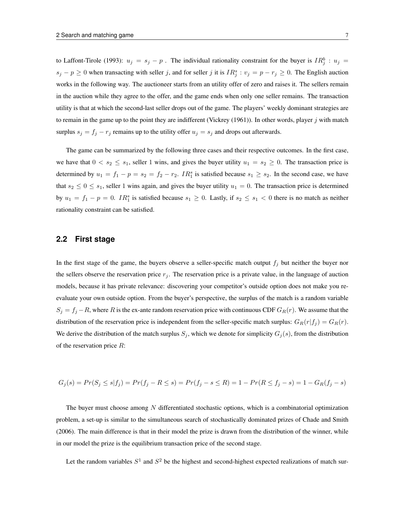to Laffont-Tirole (1993):  $u_j = s_j - p$ . The individual rationality constraint for the buyer is  $IR_j^b : u_j =$  $s_j - p \ge 0$  when transacting with seller j, and for seller j it is  $IR_j^s : v_j = p - r_j \ge 0$ . The English auction works in the following way. The auctioneer starts from an utility offer of zero and raises it. The sellers remain in the auction while they agree to the offer, and the game ends when only one seller remains. The transaction utility is that at which the second-last seller drops out of the game. The players' weekly dominant strategies are to remain in the game up to the point they are indifferent (Vickrey (1961)). In other words, player  $j$  with match surplus  $s_j = f_j - r_j$  remains up to the utility offer  $u_j = s_j$  and drops out afterwards.

The game can be summarized by the following three cases and their respective outcomes. In the first case, we have that  $0 < s_2 \le s_1$ , seller 1 wins, and gives the buyer utility  $u_1 = s_2 \ge 0$ . The transaction price is determined by  $u_1 = f_1 - p = s_2 = f_2 - r_2$ .  $IR_1^s$  is satisfied because  $s_1 \geq s_2$ . In the second case, we have that  $s_2 \leq 0 \leq s_1$ , seller 1 wins again, and gives the buyer utility  $u_1 = 0$ . The transaction price is determined by  $u_1 = f_1 - p = 0$ .  $IR_1^s$  is satisfied because  $s_1 \ge 0$ . Lastly, if  $s_2 \le s_1 < 0$  there is no match as neither rationality constraint can be satisfied.

#### **2.2 First stage**

In the first stage of the game, the buyers observe a seller-specific match output  $f_j$  but neither the buyer nor the sellers observe the reservation price  $r_j$ . The reservation price is a private value, in the language of auction models, because it has private relevance: discovering your competitor's outside option does not make you reevaluate your own outside option. From the buyer's perspective, the surplus of the match is a random variable  $S_j = f_j - R$ , where R is the ex-ante random reservation price with continuous CDF  $G_R(r)$ . We assume that the distribution of the reservation price is independent from the seller-specific match surplus:  $G_R(r|f_j) = G_R(r)$ . We derive the distribution of the match surplus  $S_j$ , which we denote for simplicity  $G_j(s)$ , from the distribution of the reservation price R:

$$
G_j(s) = Pr(S_j \le s | f_j) = Pr(f_j - R \le s) = Pr(f_j - s \le R) = 1 - Pr(R \le f_j - s) = 1 - G_R(f_j - s)
$$

The buyer must choose among  $N$  differentiated stochastic options, which is a combinatorial optimization problem, a set-up is similar to the simultaneous search of stochastically dominated prizes of Chade and Smith (2006). The main difference is that in their model the prize is drawn from the distribution of the winner, while in our model the prize is the equilibrium transaction price of the second stage.

Let the random variables  $S^1$  and  $S^2$  be the highest and second-highest expected realizations of match sur-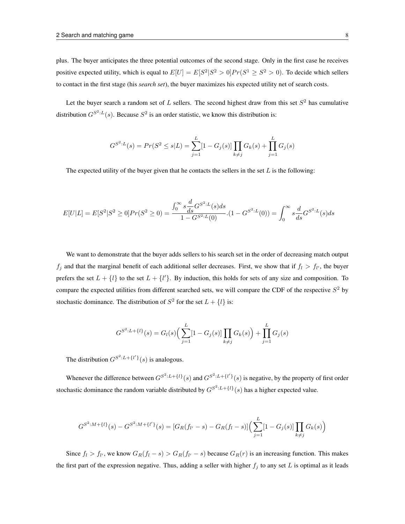plus. The buyer anticipates the three potential outcomes of the second stage. Only in the first case he receives positive expected utility, which is equal to  $E[U] = E[S^2|S^2 > 0]Pr(S^1 \ge S^2 > 0)$ . To decide which sellers to contact in the first stage (his *search set*), the buyer maximizes his expected utility net of search costs.

Let the buyer search a random set of  $L$  sellers. The second highest draw from this set  $S<sup>2</sup>$  has cumulative distribution  $G^{S^2:L}(s)$ . Because  $S^2$  is an order statistic, we know this distribution is:

$$
G^{S^2:L}(s) = Pr(S^2 \le s|L) = \sum_{j=1}^{L} [1 - G_j(s)] \prod_{k \ne j} G_k(s) + \prod_{j=1}^{L} G_j(s)
$$

The expected utility of the buyer given that he contacts the sellers in the set  $L$  is the following:

$$
E[U|L] = E[S^2|S^2 \ge 0]Pr(S^2 \ge 0) = \frac{\int_0^\infty s \frac{d}{ds} G^{S^2:L}(s) ds}{1 - G^{S^2:L}(0)}.(1 - G^{S^2:L}(0)) = \int_0^\infty s \frac{d}{ds} G^{S^2:L}(s) ds
$$

We want to demonstrate that the buyer adds sellers to his search set in the order of decreasing match output  $f_j$  and that the marginal benefit of each additional seller decreases. First, we show that if  $f_l > f_{l'}$ , the buyer prefers the set  $L + \{l\}$  to the set  $L + \{l'\}$ . By induction, this holds for sets of any size and composition. To compare the expected utilities from different searched sets, we will compare the CDF of the respective  $S^2$  by stochastic dominance. The distribution of  $S^2$  for the set  $L + \{l\}$  is:

$$
G^{S^2:L+\{l\}}(s) = G_l(s) \left( \sum_{j=1}^{L} [1 - G_j(s)] \prod_{k \neq j} G_k(s) \right) + \prod_{j=1}^{L} G_j(s)
$$

The distribution  $G^{S^2:L+\lbrace l'\rbrace}(s)$  is analogous.

Whenever the difference between  $G^{S^2:L+\{l\}}(s)$  and  $G^{S^2:L+\{l'\}}(s)$  is negative, by the property of first order stochastic dominance the random variable distributed by  $G^{S^2:L} + \{l\}(s)$  has a higher expected value.

$$
G^{S^2:M+\{l\}}(s) - G^{S^2:M+\{l'\}}(s) = [G_R(f_{l'} - s) - G_R(f_{l} - s)] \Big(\sum_{j=1}^{L} [1 - G_j(s)] \prod_{k \neq j} G_k(s)\Big)
$$

Since  $f_l > f_{l'}$ , we know  $G_R(f_l - s) > G_R(f_{l'} - s)$  because  $G_R(r)$  is an increasing function. This makes the first part of the expression negative. Thus, adding a seller with higher  $f_j$  to any set L is optimal as it leads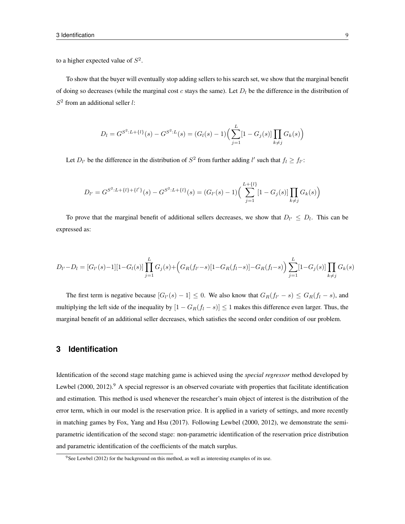to a higher expected value of  $S^2$ .

To show that the buyer will eventually stop adding sellers to his search set, we show that the marginal benefit of doing so decreases (while the marginal cost c stays the same). Let  $D_l$  be the difference in the distribution of  $S<sup>2</sup>$  from an additional seller l:

$$
D_l = G^{S^2:L + \{l\}}(s) - G^{S^2:L}(s) = (G_l(s) - 1) \Big(\sum_{j=1}^{L} [1 - G_j(s)] \prod_{k \neq j} G_k(s)\Big)
$$

Let  $D_{l'}$  be the difference in the distribution of  $S^2$  from further adding l' such that  $f_l \ge f_{l'}$ :

$$
D_{l'} = G^{S^2:L + \{l\} + \{l'\}}(s) - G^{S^2:L + \{l\}}(s) = (G_{l'}(s) - 1) \left( \sum_{j=1}^{L + \{l\}} [1 - G_j(s)] \prod_{k \neq j} G_k(s) \right)
$$

To prove that the marginal benefit of additional sellers decreases, we show that  $D_{l'} \leq D_l$ . This can be expressed as:

$$
D_{l'}-D_l = [G_{l'}(s)-1][1-G_l(s)] \prod_{j=1}^{L} G_j(s) + (G_R(f_{l'}-s)[1-G_R(f_l-s)] - G_R(f_l-s)) \sum_{j=1}^{L} [1-G_j(s)] \prod_{k \neq j} G_k(s)
$$

The first term is negative because  $[G_{l'}(s) - 1] \leq 0$ . We also know that  $G_R(f_{l'} - s) \leq G_R(f_l - s)$ , and multiplying the left side of the inequality by  $[1 - G_R(f_l - s)] \le 1$  makes this difference even larger. Thus, the marginal benefit of an additional seller decreases, which satisfies the second order condition of our problem.

## **3 Identification**

Identification of the second stage matching game is achieved using the *special regressor* method developed by Lewbel (2000, 2012).<sup>9</sup> A special regressor is an observed covariate with properties that facilitate identification and estimation. This method is used whenever the researcher's main object of interest is the distribution of the error term, which in our model is the reservation price. It is applied in a variety of settings, and more recently in matching games by Fox, Yang and Hsu (2017). Following Lewbel (2000, 2012), we demonstrate the semiparametric identification of the second stage: non-parametric identification of the reservation price distribution and parametric identification of the coefficients of the match surplus.

<sup>&</sup>lt;sup>9</sup>See Lewbel (2012) for the background on this method, as well as interesting examples of its use.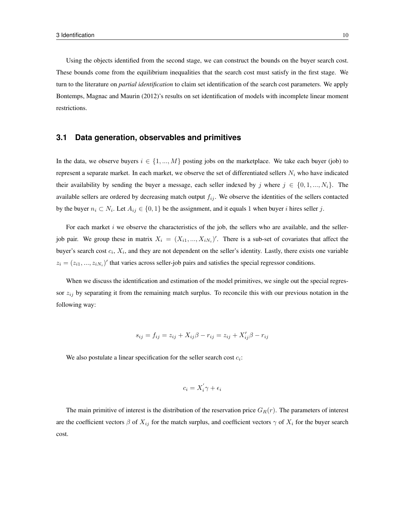Using the objects identified from the second stage, we can construct the bounds on the buyer search cost. These bounds come from the equilibrium inequalities that the search cost must satisfy in the first stage. We turn to the literature on *partial identification* to claim set identification of the search cost parameters. We apply Bontemps, Magnac and Maurin (2012)'s results on set identification of models with incomplete linear moment restrictions.

## **3.1 Data generation, observables and primitives**

In the data, we observe buyers  $i \in \{1, ..., M\}$  posting jobs on the marketplace. We take each buyer (job) to represent a separate market. In each market, we observe the set of differentiated sellers  $N_i$  who have indicated their availability by sending the buyer a message, each seller indexed by j where  $j \in \{0, 1, ..., N_i\}$ . The available sellers are ordered by decreasing match output  $f_{ij}$ . We observe the identities of the sellers contacted by the buyer  $n_i \subset N_i$ . Let  $A_{ij} \in \{0,1\}$  be the assignment, and it equals 1 when buyer *i* hires seller *j*.

For each market  $i$  we observe the characteristics of the job, the sellers who are available, and the sellerjob pair. We group these in matrix  $X_i = (X_{i1},...,X_{iN_i})'$ . There is a sub-set of covariates that affect the buyer's search cost  $c_i$ ,  $X_i$ , and they are not dependent on the seller's identity. Lastly, there exists one variable  $z_i = (z_{i1}, ..., z_{iN_i})'$  that varies across seller-job pairs and satisfies the special regressor conditions.

When we discuss the identification and estimation of the model primitives, we single out the special regressor  $z_{ij}$  by separating it from the remaining match surplus. To reconcile this with our previous notation in the following way:

$$
s_{ij} = f_{ij} = z_{ij} + X_{ij}\beta - r_{ij} = z_{ij} + X'_{ij}\beta - r_{ij}
$$

We also postulate a linear specification for the seller search cost  $c_i$ :

$$
c_i = X_i^{'} \gamma + \epsilon_i
$$

The main primitive of interest is the distribution of the reservation price  $G_R(r)$ . The parameters of interest are the coefficient vectors  $\beta$  of  $X_{ij}$  for the match surplus, and coefficient vectors  $\gamma$  of  $X_i$  for the buyer search cost.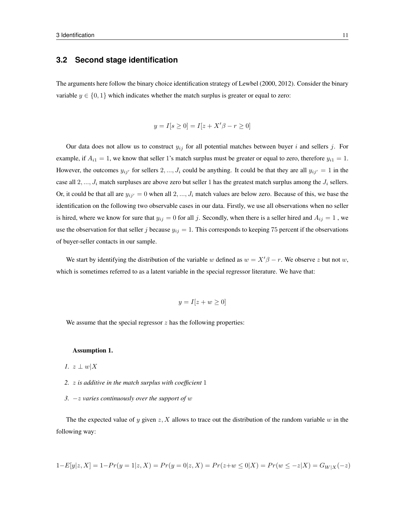## **3.2 Second stage identification**

The arguments here follow the binary choice identification strategy of Lewbel (2000, 2012). Consider the binary variable  $y \in \{0, 1\}$  which indicates whether the match surplus is greater or equal to zero:

$$
y = I[s \ge 0] = I[z + X'\beta - r \ge 0]
$$

Our data does not allow us to construct  $y_{ij}$  for all potential matches between buyer i and sellers j. For example, if  $A_{i1} = 1$ , we know that seller 1's match surplus must be greater or equal to zero, therefore  $y_{i1} = 1$ . However, the outcomes  $y_{ij'}$  for sellers 2, ...,  $J_i$  could be anything. It could be that they are all  $y_{ij'} = 1$  in the case all  $2, ..., J_i$  match surpluses are above zero but seller 1 has the greatest match surplus among the  $J_i$  sellers. Or, it could be that all are  $y_{ij'} = 0$  when all  $2, ..., J_i$  match values are below zero. Because of this, we base the identification on the following two observable cases in our data. Firstly, we use all observations when no seller is hired, where we know for sure that  $y_{ij} = 0$  for all j. Secondly, when there is a seller hired and  $A_{ij} = 1$ , we use the observation for that seller j because  $y_{ij} = 1$ . This corresponds to keeping 75 percent if the observations of buyer-seller contacts in our sample.

We start by identifying the distribution of the variable w defined as  $w = X'\beta - r$ . We observe z but not w, which is sometimes referred to as a latent variable in the special regressor literature. We have that:

$$
y = I[z + w \ge 0]
$$

We assume that the special regressor  $z$  has the following properties:

#### Assumption 1.

- *1.*  $z \perp w \mid X$
- *2.* z *is additive in the match surplus with coefficient* 1
- *3.* −z *varies continuously over the support of* w

The the expected value of y given  $z$ , X allows to trace out the distribution of the random variable w in the following way:

$$
1 - E[y|z, X] = 1 - Pr(y = 1|z, X) = Pr(y = 0|z, X) = Pr(z + w \le 0|X) = Pr(w \le -z|X) = G_{W|X}(-z)
$$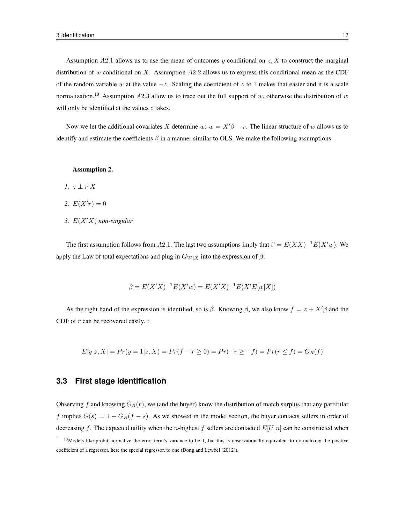Assumption A2.1 allows us to use the mean of outcomes y conditional on  $z$ , X to construct the marginal distribution of w conditional on X. Assumption  $A2.2$  allows us to express this conditional mean as the CDF of the random variable w at the value  $-z$ . Scaling the coefficient of z to 1 makes that easier and it is a scale normalization.<sup>10</sup> Assumption A2.3 allow us to trace out the full support of w, otherwise the distribution of w will only be identified at the values  $z$  takes.

Now we let the additional covariates X determine w:  $w = X'\beta - r$ . The linear structure of w allows us to identify and estimate the coefficients  $\beta$  in a manner similar to OLS. We make the following assumptions:

#### Assumption 2.

- *1.*  $z \perp r|X$
- 2.  $E(X'r) = 0$
- 3.  $E(X'X)$  *non-singular*

The first assumption follows from A2.1. The last two assumptions imply that  $\beta = E(XX)^{-1}E(X'w)$ . We apply the Law of total expectations and plug in  $G_{W|X}$  into the expression of  $\beta$ :

$$
\beta = E(X'X)^{-1}E(X'w) = E(X'X)^{-1}E(X'E[w|X])
$$

As the right hand of the expression is identified, so is  $\beta$ . Knowing  $\beta$ , we also know  $f = z + X'\beta$  and the CDF of  $r$  can be recovered easily. :

$$
E[y|z, X] = Pr(y = 1|z, X) = Pr(f - r \ge 0) = Pr(-r \ge -f) = Pr(r \le f) = G_R(f)
$$

## **3.3 First stage identification**

Observing f and knowing  $G_R(r)$ , we (and the buyer) know the distribution of match surplus that any partifular f implies  $G(s) = 1 - G_R(f - s)$ . As we showed in the model section, the buyer contacts sellers in order of decreasing f. The expected utility when the n-highest f sellers are contacted  $E[U|n]$  can be constructed when

 $10$ Models like probit normalize the error term's variance to be 1, but this is observationally equivalent to normalizing the positive coefficient of a regressor, here the special regressor, to one (Dong and Lewbel (2012)).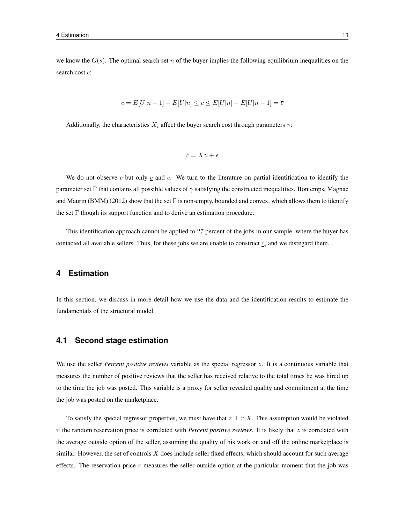we know the  $G(s)$ . The optimal search set n of the buyer implies the following equilibrium inequalities on the search cost  $c$ :

$$
\underline{c} = E[U|n+1] - E[U|n] \le c \le E[U|n] - E[U|n-1] = \overline{c}
$$

Additionally, the characteristics  $X_i$  affect the buyer search cost through parameters  $\gamma$ :

$$
c = X\gamma + \epsilon
$$

We do not observe c but only  $c$  and  $\bar{c}$ . We turn to the literature on partial identification to identify the parameter set Γ that contains all possible values of  $\gamma$  satisfying the constructed inequalities. Bontemps, Magnac and Maurin (BMM) (2012) show that the set  $\Gamma$  is non-empty, bounded and convex, which allows them to identify the set Γ though its support function and to derive an estimation procedure.

This identification approach cannot be applied to 27 percent of the jobs in our sample, where the buyer has contacted all available sellers. Thus, for these jobs we are unable to construct  $c_i$  and we disregard them...

## **4 Estimation**

In this section, we discuss in more detail how we use the data and the identification results to estimate the fundamentals of the structural model.

#### **4.1 Second stage estimation**

We use the seller *Percent positive reviews* variable as the special regressor z. It is a continuous variable that measures the number of positive reviews that the seller has received relative to the total times he was hired up to the time the job was posted. This variable is a proxy for seller revealed quality and commitment at the time the job was posted on the marketplace.

To satisfy the special regressor properties, we must have that  $z \perp r |X$ . This assumption would be violated if the random reservation price is correlated with *Percent positive reviews*. It is likely that z is correlated with the average outside option of the seller, assuming the quality of his work on and off the online marketplace is similar. However, the set of controls  $X$  does include seller fixed effects, which should account for such average effects. The reservation price  $r$  measures the seller outside option at the particular moment that the job was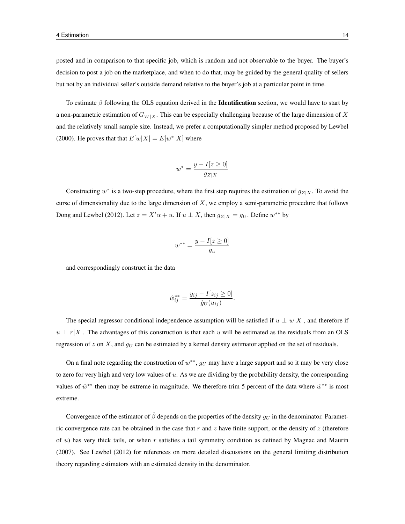posted and in comparison to that specific job, which is random and not observable to the buyer. The buyer's decision to post a job on the marketplace, and when to do that, may be guided by the general quality of sellers but not by an individual seller's outside demand relative to the buyer's job at a particular point in time.

To estimate  $\beta$  following the OLS equation derived in the **Identification** section, we would have to start by a non-parametric estimation of  $G_{W|X}$ . This can be especially challenging because of the large dimension of X and the relatively small sample size. Instead, we prefer a computationally simpler method proposed by Lewbel (2000). He proves that that  $E[w|X] = E[w^*|X]$  where

$$
w^* = \frac{y - I[z \ge 0]}{g_{Z|X}}
$$

Constructing  $w^*$  is a two-step procedure, where the first step requires the estimation of  $g_{Z|X}$ . To avoid the curse of dimensionality due to the large dimension of  $X$ , we employ a semi-parametric procedure that follows Dong and Lewbel (2012). Let  $z = X' \alpha + u$ . If  $u \perp X$ , then  $g_{Z|X} = g_U$ . Define  $w^{**}$  by

$$
w^{**} = \frac{y - I[z \ge 0]}{g_u}
$$

and correspondingly construct in the data

$$
\hat{w}_{ij}^{**} = \frac{y_{ij} - I[z_{ij} \ge 0]}{\hat{g}_U(u_{ij})}.
$$

The special regressor conditional independence assumption will be satisfied if  $u \perp w|X$ , and therefore if  $u \perp r|X$ . The advantages of this construction is that each u will be estimated as the residuals from an OLS regression of z on X, and  $g_U$  can be estimated by a kernel density estimator applied on the set of residuals.

On a final note regarding the construction of  $w^{**}$ ,  $g_U$  may have a large support and so it may be very close to zero for very high and very low values of  $u$ . As we are dividing by the probability density, the corresponding values of  $\hat{w}^{**}$  then may be extreme in magnitude. We therefore trim 5 percent of the data where  $\hat{w}^{**}$  is most extreme.

Convergence of the estimator of  $\hat{\beta}$  depends on the properties of the density  $g_U$  in the denominator. Parametric convergence rate can be obtained in the case that  $r$  and  $z$  have finite support, or the density of  $z$  (therefore of  $u$ ) has very thick tails, or when r satisfies a tail symmetry condition as defined by Magnac and Maurin (2007). See Lewbel (2012) for references on more detailed discussions on the general limiting distribution theory regarding estimators with an estimated density in the denominator.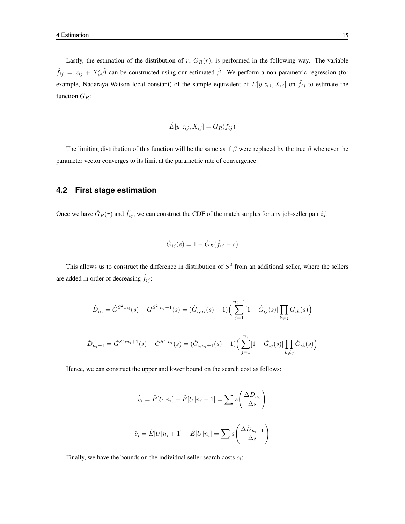Lastly, the estimation of the distribution of  $r$ ,  $G_R(r)$ , is performed in the following way. The variable  $\hat{f}_{ij} = z_{ij} + X'_{ij}\hat{\beta}$  can be constructed using our estimated  $\hat{\beta}$ . We perform a non-parametric regression (for example, Nadaraya-Watson local constant) of the sample equivalent of  $E[y|z_{ij}, X_{ij}]$  on  $\hat{f}_{ij}$  to estimate the function  $G_R$ :

$$
\hat{E}[y|z_{ij}, X_{ij}] = \hat{G}_R(\hat{f}_{ij})
$$

The limiting distribution of this function will be the same as if  $\hat{\beta}$  were replaced by the true  $\beta$  whenever the parameter vector converges to its limit at the parametric rate of convergence.

### **4.2 First stage estimation**

Once we have  $\hat{G}_R(r)$  and  $\hat{f}_{ij}$ , we can construct the CDF of the match surplus for any job-seller pair ij:

$$
\hat{G}_{ij}(s) = 1 - \hat{G}_R(\hat{f}_{ij} - s)
$$

This allows us to construct the difference in distribution of  $S<sup>2</sup>$  from an additional seller, where the sellers are added in order of decreasing  $\hat{f}_{ij}$ :

$$
\hat{D}_{n_i} = \hat{G}^{S^2:n_i}(s) - \hat{G}^{S^2:n_i-1}(s) = (\hat{G}_{i,n_i}(s) - 1) \Big( \sum_{j=1}^{n_i-1} [1 - \hat{G}_{ij}(s)] \prod_{k \neq j} \hat{G}_{ik}(s) \Big)
$$
  

$$
\hat{D}_{n_i+1} = \hat{G}^{S^2:n_i+1}(s) - \hat{G}^{S^2:n_i}(s) = (\hat{G}_{i,n_i+1}(s) - 1) \Big( \sum_{j=1}^{n_i} [1 - \hat{G}_{ij}(s)] \prod_{k \neq j} \hat{G}_{ik}(s) \Big)
$$

Hence, we can construct the upper and lower bound on the search cost as follows:

$$
\hat{c}_i = \hat{E}[U|n_i] - \hat{E}[U|n_i - 1] = \sum s \left(\frac{\Delta \hat{D}_{n_i}}{\Delta s}\right)
$$
  

$$
\hat{c}_i = \hat{E}[U|n_i + 1] - \hat{E}[U|n_i] = \sum s \left(\frac{\Delta \hat{D}_{n_i+1}}{\Delta s}\right)
$$

Finally, we have the bounds on the individual seller search costs  $c_i$ :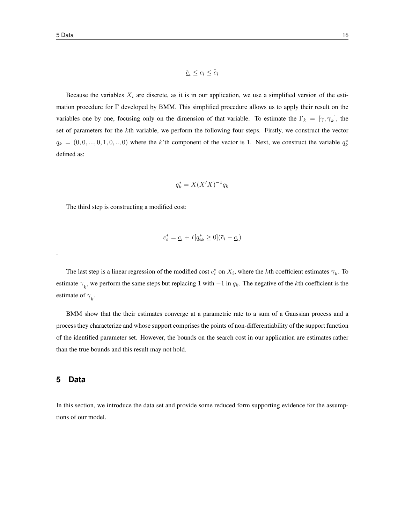Because the variables  $X_i$  are discrete, as it is in our application, we use a simplified version of the estimation procedure for Γ developed by BMM. This simplified procedure allows us to apply their result on the variables one by one, focusing only on the dimension of that variable. To estimate the  $\Gamma_k = [\gamma, \overline{\gamma}_k]$ , the set of parameters for the kth variable, we perform the following four steps. Firstly, we construct the vector  $q_k = (0, 0, ..., 0, 1, 0, ..., 0)$  where the k'th component of the vector is 1. Next, we construct the variable  $q_k^*$ defined as:

$$
q_k^* = X(X'X)^{-1}q_k
$$

The third step is constructing a modified cost:

$$
c_i^* = \underline{c}_i + I[q_{ik}^* \geq 0](\overline{c}_i - \underline{c}_i)
$$

The last step is a linear regression of the modified cost  $c_i^*$  on  $X_i$ , where the kth coefficient estimates  $\overline{\gamma}_k$ . To estimate  $\gamma_k$ , we perform the same steps but replacing 1 with  $-1$  in  $q_k$ . The negative of the kth coefficient is the estimate of  $\gamma_k$ .

BMM show that the their estimates converge at a parametric rate to a sum of a Gaussian process and a process they characterize and whose support comprises the points of non-differentiability of the support function of the identified parameter set. However, the bounds on the search cost in our application are estimates rather than the true bounds and this result may not hold.

## **5 Data**

.

In this section, we introduce the data set and provide some reduced form supporting evidence for the assumptions of our model.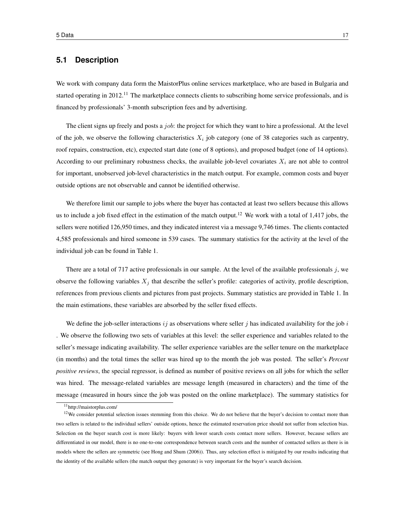## **5.1 Description**

We work with company data form the MaistorPlus online services marketplace, who are based in Bulgaria and started operating in 2012.<sup>11</sup> The marketplace connects clients to subscribing home service professionals, and is financed by professionals' 3-month subscription fees and by advertising.

The client signs up freely and posts a *job*: the project for which they want to hire a professional. At the level of the job, we observe the following characteristics  $X_i$  job category (one of 38 categories such as carpentry, roof repairs, construction, etc), expected start date (one of 8 options), and proposed budget (one of 14 options). According to our preliminary robustness checks, the available job-level covariates  $X_i$  are not able to control for important, unobserved job-level characteristics in the match output. For example, common costs and buyer outside options are not observable and cannot be identified otherwise.

We therefore limit our sample to jobs where the buyer has contacted at least two sellers because this allows us to include a job fixed effect in the estimation of the match output.<sup>12</sup> We work with a total of 1,417 jobs, the sellers were notified 126,950 times, and they indicated interest via a message 9,746 times. The clients contacted 4,585 professionals and hired someone in 539 cases. The summary statistics for the activity at the level of the individual job can be found in Table 1.

There are a total of 717 active professionals in our sample. At the level of the available professionals  $j$ , we observe the following variables  $X_i$  that describe the seller's profile: categories of activity, profile description, references from previous clients and pictures from past projects. Summary statistics are provided in Table 1. In the main estimations, these variables are absorbed by the seller fixed effects.

We define the job-seller interactions  $i j$  as observations where seller j has indicated availability for the job i . We observe the following two sets of variables at this level: the seller experience and variables related to the seller's message indicating availability. The seller experience variables are the seller tenure on the marketplace (in months) and the total times the seller was hired up to the month the job was posted. The seller's *Percent positive reviews*, the special regressor, is defined as number of positive reviews on all jobs for which the seller was hired. The message-related variables are message length (measured in characters) and the time of the message (measured in hours since the job was posted on the online marketplace). The summary statistics for

<sup>11</sup>http://maistorplus.com/

<sup>&</sup>lt;sup>12</sup>We consider potential selection issues stemming from this choice. We do not believe that the buyer's decision to contact more than two sellers is related to the individual sellers' outside options, hence the estimated reservation price should not suffer from selection bias. Selection on the buyer search cost is more likely: buyers with lower search costs contact more sellers. However, because sellers are differentiated in our model, there is no one-to-one correspondence between search costs and the number of contacted sellers as there is in models where the sellers are symmetric (see Hong and Shum (2006)). Thus, any selection effect is mitigated by our results indicating that the identity of the available sellers (the match output they generate) is very important for the buyer's search decision.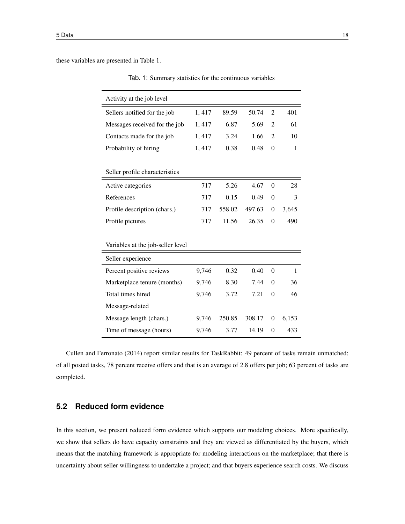these variables are presented in Table 1.

| Activity at the job level         |       |        |        |                  |              |
|-----------------------------------|-------|--------|--------|------------------|--------------|
| Sellers notified for the job      | 1,417 | 89.59  | 50.74  | $\overline{2}$   | 401          |
| Messages received for the job     | 1,417 | 6.87   | 5.69   | $\overline{2}$   | 61           |
| Contacts made for the job         | 1,417 | 3.24   | 1.66   | $\overline{2}$   | 10           |
| Probability of hiring             | 1,417 | 0.38   | 0.48   | $\overline{0}$   | $\mathbf{1}$ |
|                                   |       |        |        |                  |              |
| Seller profile characteristics    |       |        |        |                  |              |
| Active categories                 | 717   | 5.26   | 4.67   | $\Omega$         | 28           |
| References                        | 717   | 0.15   | 0.49   | $\theta$         | 3            |
| Profile description (chars.)      | 717   | 558.02 | 497.63 | $\boldsymbol{0}$ | 3,645        |
| Profile pictures                  | 717   | 11.56  | 26.35  | $\theta$         | 490          |
|                                   |       |        |        |                  |              |
| Variables at the job-seller level |       |        |        |                  |              |
| Seller experience                 |       |        |        |                  |              |
| Percent positive reviews          | 9,746 | 0.32   | 0.40   | $\theta$         | $\mathbf{1}$ |
| Marketplace tenure (months)       | 9,746 | 8.30   | 7.44   | $\theta$         | 36           |
| Total times hired                 | 9,746 | 3.72   | 7.21   | $\mathbf{0}$     | 46           |
| Message-related                   |       |        |        |                  |              |
| Message length (chars.)           | 9,746 | 250.85 | 308.17 | $\mathbf{0}$     | 6,153        |
| Time of message (hours)           | 9,746 | 3.77   | 14.19  | $\boldsymbol{0}$ | 433          |

Tab. 1: Summary statistics for the continuous variables

Cullen and Ferronato (2014) report similar results for TaskRabbit: 49 percent of tasks remain unmatched; of all posted tasks, 78 percent receive offers and that is an average of 2.8 offers per job; 63 percent of tasks are completed.

# **5.2 Reduced form evidence**

In this section, we present reduced form evidence which supports our modeling choices. More specifically, we show that sellers do have capacity constraints and they are viewed as differentiated by the buyers, which means that the matching framework is appropriate for modeling interactions on the marketplace; that there is uncertainty about seller willingness to undertake a project; and that buyers experience search costs. We discuss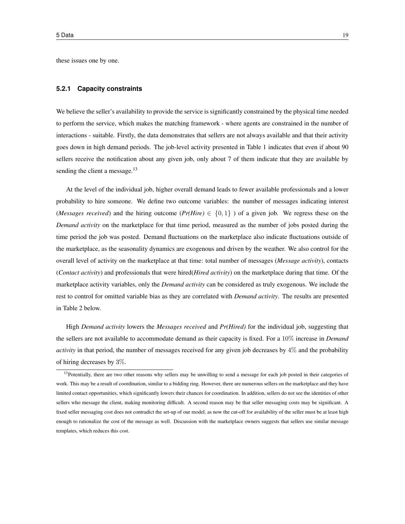these issues one by one.

#### **5.2.1 Capacity constraints**

We believe the seller's availability to provide the service is significantly constrained by the physical time needed to perform the service, which makes the matching framework - where agents are constrained in the number of interactions - suitable. Firstly, the data demonstrates that sellers are not always available and that their activity goes down in high demand periods. The job-level activity presented in Table 1 indicates that even if about 90 sellers receive the notification about any given job, only about 7 of them indicate that they are available by sending the client a message.<sup>13</sup>

At the level of the individual job, higher overall demand leads to fewer available professionals and a lower probability to hire someone. We define two outcome variables: the number of messages indicating interest *(Messages received)* and the hiring outcome ( $Pr(Hire) \in \{0, 1\}$ ) of a given job. We regress these on the *Demand activity* on the marketplace for that time period, measured as the number of jobs posted during the time period the job was posted. Demand fluctuations on the marketplace also indicate fluctuations outside of the marketplace, as the seasonality dynamics are exogenous and driven by the weather. We also control for the overall level of activity on the marketplace at that time: total number of messages (*Message activity*), contacts (*Contact activity*) and professionals that were hired(*Hired activity*) on the marketplace during that time. Of the marketplace activity variables, only the *Demand activity* can be considered as truly exogenous. We include the rest to control for omitted variable bias as they are correlated with *Demand activity*. The results are presented in Table 2 below.

High *Demand activity* lowers the *Messages received* and *Pr(Hired)* for the individual job, suggesting that the sellers are not available to accommodate demand as their capacity is fixed. For a 10% increase in *Demand activity* in that period, the number of messages received for any given job decreases by 4% and the probability of hiring decreases by 3%.

<sup>&</sup>lt;sup>13</sup>Potentially, there are two other reasons why sellers may be unwilling to send a message for each job posted in their categories of work. This may be a result of coordination, similar to a bidding ring. However, there are numerous sellers on the marketplace and they have limited contact opportunities, which significantly lowers their chances for coordination. In addition, sellers do not see the identities of other sellers who message the client, making monitoring difficult. A second reason may be that seller messaging costs may be significant. A fixed seller messaging cost does not contradict the set-up of our model, as now the cut-off for availability of the seller must be at least high enough to rationalize the cost of the message as well. Discussion with the marketplace owners suggests that sellers use similar message templates, which reduces this cost.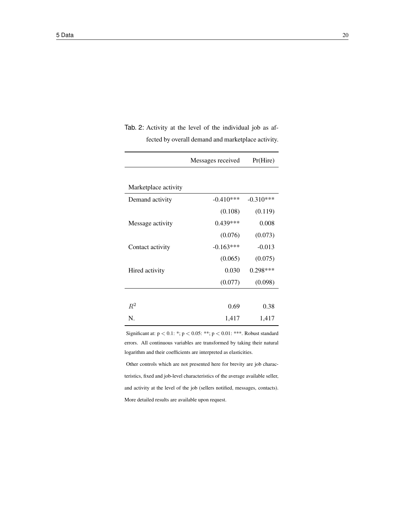|                      | Messages received | Pr(Hire)    |
|----------------------|-------------------|-------------|
|                      |                   |             |
| Marketplace activity |                   |             |
| Demand activity      | $-0.410***$       | $-0.310***$ |
|                      | (0.108)           | (0.119)     |
| Message activity     | $0.439***$        | 0.008       |
|                      | (0.076)           | (0.073)     |
| Contact activity     | $-0.163***$       | $-0.013$    |
|                      | (0.065)           | (0.075)     |
| Hired activity       | 0.030             | $0.298***$  |
|                      | (0.077)           | (0.098)     |
|                      |                   |             |
| $R^2$                | 0.69              | 0.38        |
| N.                   | 1,417             | 1,417       |

Tab. 2: Activity at the level of the individual job as affected by overall demand and marketplace activity.

Significant at:  $p < 0.1$ : \*;  $p < 0.05$ : \*\*;  $p < 0.01$ : \*\*\*. Robust standard errors. All continuous variables are transformed by taking their natural logarithm and their coefficients are interpreted as elasticities.

Other controls which are not presented here for brevity are job characteristics, fixed and job-level characteristics of the average available seller, and activity at the level of the job (sellers notified, messages, contacts). More detailed results are available upon request.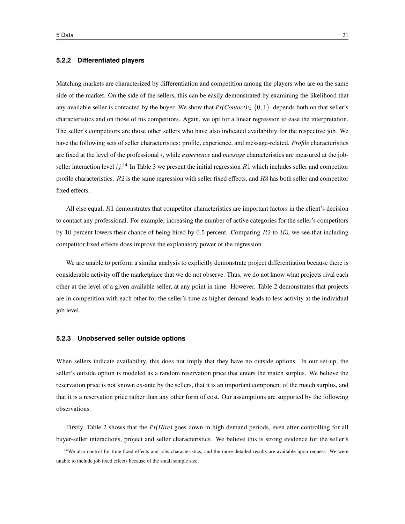#### **5.2.2 Differentiated players**

Matching markets are characterized by differentiation and competition among the players who are on the same side of the market. On the side of the sellers, this can be easily demonstrated by examining the likelihood that any available seller is contacted by the buyer. We show that  $Pr(Concat) \in \{0, 1\}$  depends both on that seller's characteristics and on those of his competitors. Again, we opt for a linear regression to ease the interpretation. The seller's competitors are those other sellers who have also indicated availability for the respective job. We have the following sets of seller characteristics: profile, experience, and message-related. *Profile* characteristics are fixed at the level of the professional i, while *experience* and *message* characteristics are measured at the jobseller interaction level  $ij$ .<sup>14</sup> In Table 3 we present the initial regression  $R1$  which includes seller and competitor profile characteristics.  $R2$  is the same regression with seller fixed effects, and  $R3$  has both seller and competitor fixed effects.

All else equal, R1 demonstrates that competitor characteristics are important factors in the client's decision to contact any professional. For example, increasing the number of active categories for the seller's competitors by 10 percent lowers their chance of being hired by 0.5 percent. Comparing  $R2$  to  $R3$ , we see that including competitor fixed effects does improve the explanatory power of the regression.

We are unable to perform a similar analysis to explicitly demonstrate project differentiation because there is considerable activity off the marketplace that we do not observe. Thus, we do not know what projects rival each other at the level of a given available seller, at any point in time. However, Table 2 demonstrates that projects are in competition with each other for the seller's time as higher demand leads to less activity at the individual job level.

#### **5.2.3 Unobserved seller outside options**

When sellers indicate availability, this does not imply that they have no outside options. In our set-up, the seller's outside option is modeled as a random reservation price that enters the match surplus. We believe the reservation price is not known ex-ante by the sellers, that it is an important component of the match surplus, and that it is a reservation price rather than any other form of cost. Our assumptions are supported by the following observations.

Firstly, Table 2 shows that the *Pr(Hire)* goes down in high demand periods, even after controlling for all buyer-seller interactions, project and seller characteristics. We believe this is strong evidence for the seller's

<sup>&</sup>lt;sup>14</sup>We also control for time fixed effects and jobs characteristics, and the more detailed results are available upon request. We were unable to include job fixed effects because of the small sample size.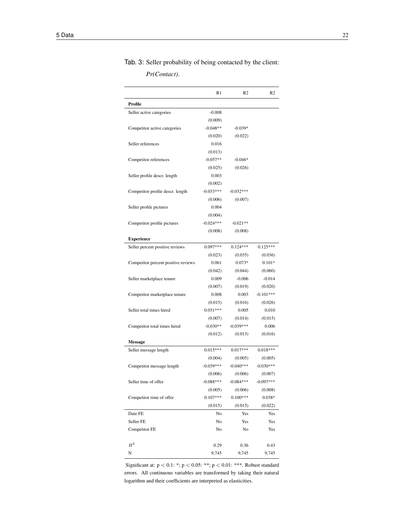Tab. 3: Seller probability of being contacted by the client:

*Pr(Contact)*.

|                                     | R <sub>1</sub> | R <sub>2</sub> | R <sub>2</sub> |
|-------------------------------------|----------------|----------------|----------------|
| Profile                             |                |                |                |
| Seller active categories            | $-0.008$       |                |                |
|                                     | (0.009)        |                |                |
| Competitor active categories        | $-0.048**$     | $-0.039*$      |                |
|                                     | (0.020)        | (0.022)        |                |
| Seller references                   | 0.016          |                |                |
|                                     | (0.013)        |                |                |
| Competitor references               | $-0.057**$     | $-0.046*$      |                |
|                                     | (0.025)        | (0.026)        |                |
| Seller profile descr. length        | 0.003          |                |                |
|                                     | (0.002)        |                |                |
| Competitor profile descr. length    | $-0.033***$    | $-0.032***$    |                |
|                                     | (0.006)        | (0.007)        |                |
| Seller profile pictures             | 0.004          |                |                |
|                                     | (0.004)        |                |                |
| Competitor profile pictures         | $-0.024***$    | $-0.021**$     |                |
|                                     | (0.008)        | (0.008)        |                |
| <b>Experience</b>                   |                |                |                |
| Seller percent positive reviews     | $0.097***$     | $0.124***$     | $0.125***$     |
|                                     | (0.023)        | (0.035)        | (0.036)        |
| Competitor percent positive reviews | 0.061          | $0.073*$       | $0.101*$       |
|                                     | (0.042)        | (0.044)        | (0.060)        |
| Seller marketplace tenure           | 0.009          | $-0.006$       | $-0.014$       |
|                                     | (0.007)        | (0.019)        | (0.020)        |
| Competitor marketplace tenure       | 0.008          | 0.003          | $-0.101***$    |
|                                     | (0.015)        | (0.016)        | (0.026)        |
| Seller total times hired            | $0.031***$     | 0.005          | 0.010          |
|                                     | (0.007)        | (0.014)        | (0.015)        |
| Competitor total times hired        | $-0.030**$     | $-0.039***$    | 0.006          |
|                                     | (0.012)        | (0.013)        | (0.016)        |
| <b>Message</b>                      |                |                |                |
| Seller message length               | $0.015***$     | $0.017***$     | $0.018***$     |
|                                     | (0.004)        | (0.005)        | (0.005)        |
| Competitor message length           | $-0.039***$    | $-0.040***$    | $-0.030***$    |
|                                     | (0.006)        | (0.006)        | (0.007)        |
| Seller time of offer                | $-0.088***$    | $-0.084***$    | $-0.097***$    |
|                                     | (0.005)        | (0.006)        | (0.008)        |
| Competitor time of offer            | $0.107***$     | $0.100***$     | $0.038*$       |
|                                     | (0.015)        | (0.015)        | (0.022)        |
| Date FE                             | No             | Yes            | Yes            |
| Seller FE                           | No             | Yes            | Yes            |
| Competitor FE                       | No             | No             | Yes            |
|                                     |                |                |                |
| $R^2$                               | 0.29           | 0.36           | 0.43           |
| N                                   | 9,745          | 9,745          | 9,745          |

Significant at: p < 0.1: \*; p < 0.05: \*\*; p < 0.01: \*\*\*. Robust standard errors. All continuous variables are transformed by taking their natural logarithm and their coefficients are interpreted as elasticities.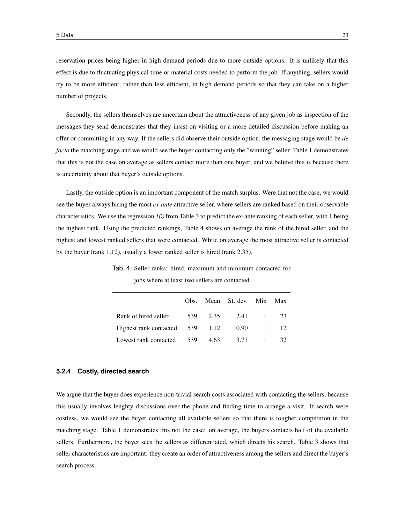reservation prices being higher in high demand periods due to more outside options. It is unlikely that this effect is due to fluctuating physical time or material costs needed to perform the job. If anything, sellers would try to be more efficient, rather than less efficient, in high demand periods so that they can take on a higher number of projects.

Secondly, the sellers themselves are uncertain about the attractiveness of any given job as inspection of the messages they send demonstrates that they insist on visiting or a more detailed discussion before making an offer or committing in any way. If the sellers did observe their outside option, the messaging stage would be *de facto* the matching stage and we would see the buyer contacting only the "winning" seller. Table 1 demonstrates that this is not the case on average as sellers contact more than one buyer, and we believe this is because there is uncertainty about that buyer's outside options.

Lastly, the outside option is an important component of the match surplus. Were that not the case, we would see the buyer always hiring the most *ex-ante* attractive seller, where sellers are ranked based on their observable characteristics. We use the regression  $R3$  from Table 3 to predict the ex-ante ranking of each seller, with 1 being the highest rank. Using the predicted rankings, Table 4 shows on average the rank of the hired seller, and the highest and lowest ranked sellers that were contacted. While on average the most attractive seller is contacted by the buyer (rank 1.12), usually a lower ranked seller is hired (rank 2.35).

|                                 | Obs. |      | Mean St. dev. Min |          | Max |
|---------------------------------|------|------|-------------------|----------|-----|
| Rank of hired seller            | 539  | 2.35 | 2.41              | $\sim$ 1 | 23  |
| Highest rank contacted 539 1.12 |      |      | 0.90              | $\sim$ 1 |     |
| Lowest rank contacted           | 539  | 4.63 | 3.71              |          | 32. |

Tab. 4: Seller ranks: hired, maximum and minimum contacted for

jobs where at least two sellers are contacted

#### **5.2.4 Costly, directed search**

We argue that the buyer does experience non-trivial search costs associated with contacting the sellers, because this usually involves lenghty discussions over the phone and finding time to arrange a visit. If search were costless, we would see the buyer contacting all available sellers so that there is tougher competition in the matching stage. Table 1 demonstrates this not the case: on average, the buyers contacts half of the available sellers. Furthermore, the buyer sees the sellers as differentiated, which directs his search. Table 3 shows that seller characteristics are important: they create an order of attractiveness among the sellers and direct the buyer's search process.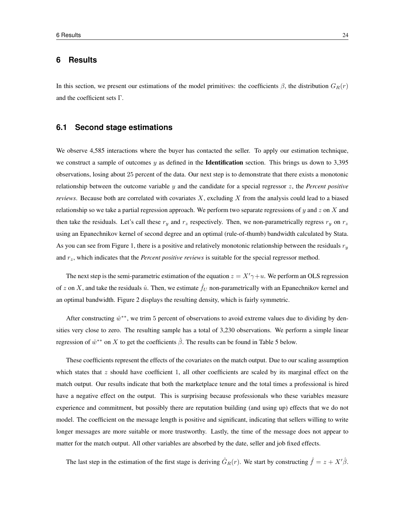## **6 Results**

In this section, we present our estimations of the model primitives: the coefficients  $\beta$ , the distribution  $G_R(r)$ and the coefficient sets Γ.

## **6.1 Second stage estimations**

We observe 4,585 interactions where the buyer has contacted the seller. To apply our estimation technique, we construct a sample of outcomes  $y$  as defined in the **Identification** section. This brings us down to 3,395 observations, losing about 25 percent of the data. Our next step is to demonstrate that there exists a monotonic relationship between the outcome variable y and the candidate for a special regressor z, the *Percent positive reviews*. Because both are correlated with covariates X, excluding X from the analysis could lead to a biased relationship so we take a partial regression approach. We perform two separate regressions of y and z on X and then take the residuals. Let's call these  $r_y$  and  $r_z$  respectively. Then, we non-parametrically regress  $r_y$  on  $r_z$ using an Epanechnikov kernel of second degree and an optimal (rule-of-thumb) bandwidth calculated by Stata. As you can see from Figure 1, there is a positive and relatively monotonic relationship between the residuals  $r_y$ and  $r<sub>z</sub>$ , which indicates that the *Percent positive reviews* is suitable for the special regressor method.

The next step is the semi-parametric estimation of the equation  $z = X'\gamma + u$ . We perform an OLS regression of z on X, and take the residuals  $\hat{u}$ . Then, we estimate  $\hat{f}_U$  non-parametrically with an Epanechnikov kernel and an optimal bandwidth. Figure 2 displays the resulting density, which is fairly symmetric.

After constructing  $\hat{w}^{**}$ , we trim 5 percent of observations to avoid extreme values due to dividing by densities very close to zero. The resulting sample has a total of 3,230 observations. We perform a simple linear regression of  $\hat{w}^{**}$  on X to get the coefficients  $\hat{\beta}$ . The results can be found in Table 5 below.

These coefficients represent the effects of the covariates on the match output. Due to our scaling assumption which states that  $z$  should have coefficient 1, all other coefficients are scaled by its marginal effect on the match output. Our results indicate that both the marketplace tenure and the total times a professional is hired have a negative effect on the output. This is surprising because professionals who these variables measure experience and commitment, but possibly there are reputation building (and using up) effects that we do not model. The coefficient on the message length is positive and significant, indicating that sellers willing to write longer messages are more suitable or more trustworthy. Lastly, the time of the message does not appear to matter for the match output. All other variables are absorbed by the date, seller and job fixed effects.

The last step in the estimation of the first stage is deriving  $\hat{G}_R(r)$ . We start by constructing  $\hat{f} = z + X'\hat{\beta}$ .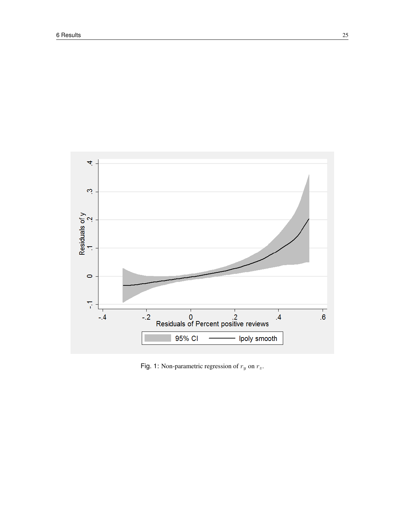

Fig. 1: Non-parametric regression of  $r_y$  on  $r_z$ .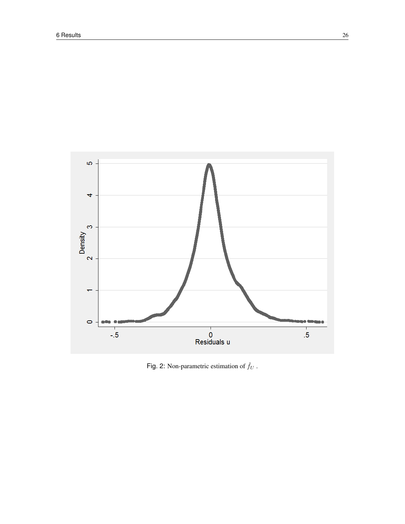

Fig. 2: Non-parametric estimation of  $\hat{f}_U$  .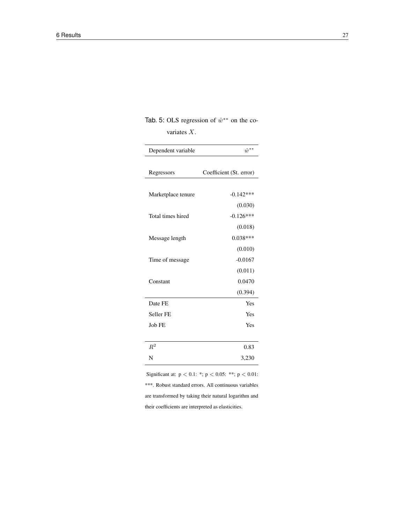Tab. 5: OLS regression of  $\hat{w}^{**}$  on the covariates X.

| Dependent variable | $\hat{w}^{**}$          |
|--------------------|-------------------------|
| Regressors         | Coefficient (St. error) |
| Marketplace tenure | $-0.142***$             |
| Total times hired  | (0.030)<br>$-0.126***$  |
|                    | (0.018)                 |
| Message length     | $0.038***$<br>(0.010)   |
| Time of message    | $-0.0167$<br>(0.011)    |
| Constant           | 0.0470                  |
|                    | (0.394)                 |
| Date FE            | Yes                     |
| Seller FE          | Yes                     |
| Job FE             | Yes                     |
| $R^2$              | 0.83                    |
| N                  | 3,230                   |

Significant at: p < 0.1: \*; p < 0.05: \*\*; p < 0.01: \*\*\*. Robust standard errors. All continuous variables are transformed by taking their natural logarithm and their coefficients are interpreted as elasticities.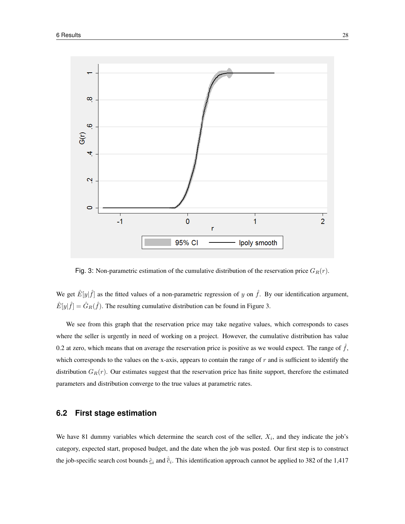

Fig. 3: Non-parametric estimation of the cumulative distribution of the reservation price  $G_R(r)$ .

We get  $\hat{E}[y|\hat{f}]$  as the fitted values of a non-parametric regression of y on  $\hat{f}$ . By our identification argument,  $\hat{E}[y|\hat{f}] = \hat{G}_R(\hat{f})$ . The resulting cumulative distribution can be found in Figure 3.

We see from this graph that the reservation price may take negative values, which corresponds to cases where the seller is urgently in need of working on a project. However, the cumulative distribution has value 0.2 at zero, which means that on average the reservation price is positive as we would expect. The range of  $\hat{f}$ , which corresponds to the values on the x-axis, appears to contain the range of  $r$  and is sufficient to identify the distribution  $G_R(r)$ . Our estimates suggest that the reservation price has finite support, therefore the estimated parameters and distribution converge to the true values at parametric rates.

## **6.2 First stage estimation**

We have 81 dummy variables which determine the search cost of the seller,  $X_i$ , and they indicate the job's category, expected start, proposed budget, and the date when the job was posted. Our first step is to construct the job-specific search cost bounds  $\hat{c}_i$  and  $\hat{\vec{c}}_i$ . This identification approach cannot be applied to 382 of the 1,417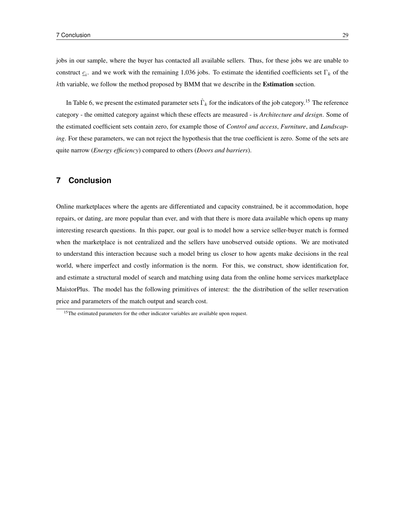jobs in our sample, where the buyer has contacted all available sellers. Thus, for these jobs we are unable to construct  $c_i$ , and we work with the remaining 1,036 jobs. To estimate the identified coefficients set  $\Gamma_k$  of the kth variable, we follow the method proposed by BMM that we describe in the Estimation section.

In Table 6, we present the estimated parameter sets  $\hat{\Gamma}_k$  for the indicators of the job category.<sup>15</sup> The reference category - the omitted category against which these effects are measured - is *Architecture and design*. Some of the estimated coefficient sets contain zero, for example those of *Control and access*, *Furniture*, and *Landscaping*. For these parameters, we can not reject the hypothesis that the true coefficient is zero. Some of the sets are quite narrow (*Energy efficiency*) compared to others (*Doors and barriers*).

## **7 Conclusion**

Online marketplaces where the agents are differentiated and capacity constrained, be it accommodation, hope repairs, or dating, are more popular than ever, and with that there is more data available which opens up many interesting research questions. In this paper, our goal is to model how a service seller-buyer match is formed when the marketplace is not centralized and the sellers have unobserved outside options. We are motivated to understand this interaction because such a model bring us closer to how agents make decisions in the real world, where imperfect and costly information is the norm. For this, we construct, show identification for, and estimate a structural model of search and matching using data from the online home services marketplace MaistorPlus. The model has the following primitives of interest: the the distribution of the seller reservation price and parameters of the match output and search cost.

<sup>&</sup>lt;sup>15</sup>The estimated parameters for the other indicator variables are available upon request.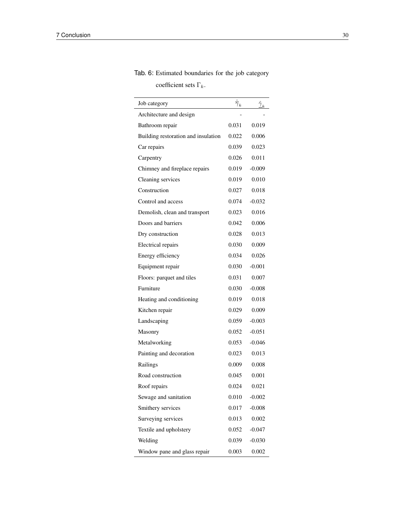# Tab. 6: Estimated boundaries for the job category

coefficient sets  $\Gamma_k.$ 

| Job category                        | $\hat{\overline{\gamma}}_k$ | $\frac{\hat{\gamma}}{2k}$ |
|-------------------------------------|-----------------------------|---------------------------|
| Architecture and design             |                             |                           |
| Bathroom repair                     | 0.031                       | 0.019                     |
| Building restoration and insulation | 0.022                       | 0.006                     |
| Car repairs                         | 0.039                       | 0.023                     |
| Carpentry                           | 0.026                       | 0.011                     |
| Chimney and fireplace repairs       | 0.019                       | $-0.009$                  |
| Cleaning services                   | 0.019                       | 0.010                     |
| Construction                        | 0.027                       | 0.018                     |
| Control and access                  | 0.074                       | $-0.032$                  |
| Demolish, clean and transport       | 0.023                       | 0.016                     |
| Doors and barriers                  | 0.042                       | 0.006                     |
| Dry construction                    | 0.028                       | 0.013                     |
| Electrical repairs                  | 0.030                       | 0.009                     |
| Energy efficiency                   | 0.034                       | 0.026                     |
| Equipment repair                    | 0.030                       | $-0.001$                  |
| Floors: parquet and tiles           | 0.031                       | 0.007                     |
| Furniture                           | 0.030                       | $-0.008$                  |
| Heating and conditioning            | 0.019                       | 0.018                     |
| Kitchen repair                      | 0.029                       | 0.009                     |
| Landscaping                         | 0.059                       | $-0.003$                  |
| Masonry                             | 0.052                       | $-0.051$                  |
| Metalworking                        | 0.053                       | $-0.046$                  |
| Painting and decoration             | 0.023                       | 0.013                     |
| Railings                            | 0.009                       | 0.008                     |
| Road construction                   | 0.045                       | 0.001                     |
| Roof repairs                        | 0.024                       | 0.021                     |
| Sewage and sanitation               | 0.010                       | $-0.002$                  |
| Smithery services                   | 0.017                       | $-0.008$                  |
| Surveying services                  | 0.013                       | 0.002                     |
| Textile and upholstery              | 0.052                       | $-0.047$                  |
| Welding                             | 0.039                       | $-0.030$                  |
| Window pane and glass repair        | 0.003                       | 0.002                     |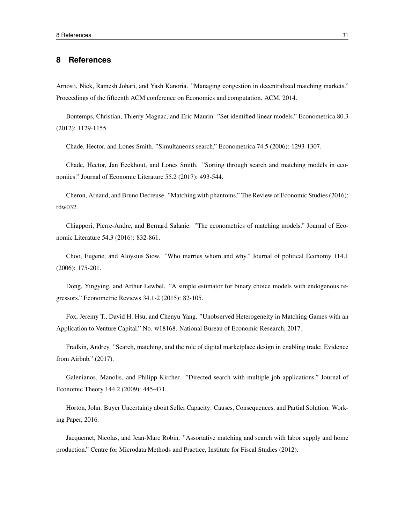#### **8 References**

Arnosti, Nick, Ramesh Johari, and Yash Kanoria. "Managing congestion in decentralized matching markets." Proceedings of the fifteenth ACM conference on Economics and computation. ACM, 2014.

Bontemps, Christian, Thierry Magnac, and Eric Maurin. "Set identified linear models." Econometrica 80.3 (2012): 1129-1155.

Chade, Hector, and Lones Smith. "Simultaneous search." Econometrica 74.5 (2006): 1293-1307.

Chade, Hector, Jan Eeckhout, and Lones Smith. "Sorting through search and matching models in economics." Journal of Economic Literature 55.2 (2017): 493-544.

Cheron, Arnaud, and Bruno Decreuse. "Matching with phantoms." The Review of Economic Studies (2016): rdw032.

Chiappori, Pierre-Andre, and Bernard Salanie. "The econometrics of matching models." Journal of Economic Literature 54.3 (2016): 832-861.

Choo, Eugene, and Aloysius Siow. "Who marries whom and why." Journal of political Economy 114.1 (2006): 175-201.

Dong, Yingying, and Arthur Lewbel. "A simple estimator for binary choice models with endogenous regressors." Econometric Reviews 34.1-2 (2015): 82-105.

Fox, Jeremy T., David H. Hsu, and Chenyu Yang. "Unobserved Heterogeneity in Matching Games with an Application to Venture Capital." No. w18168. National Bureau of Economic Research, 2017.

Fradkin, Andrey. "Search, matching, and the role of digital marketplace design in enabling trade: Evidence from Airbnb." (2017).

Galenianos, Manolis, and Philipp Kircher. "Directed search with multiple job applications." Journal of Economic Theory 144.2 (2009): 445-471.

Horton, John. Buyer Uncertainty about Seller Capacity: Causes, Consequences, and Partial Solution. Working Paper, 2016.

Jacquemet, Nicolas, and Jean-Marc Robin. "Assortative matching and search with labor supply and home production." Centre for Microdata Methods and Practice, Institute for Fiscal Studies (2012).